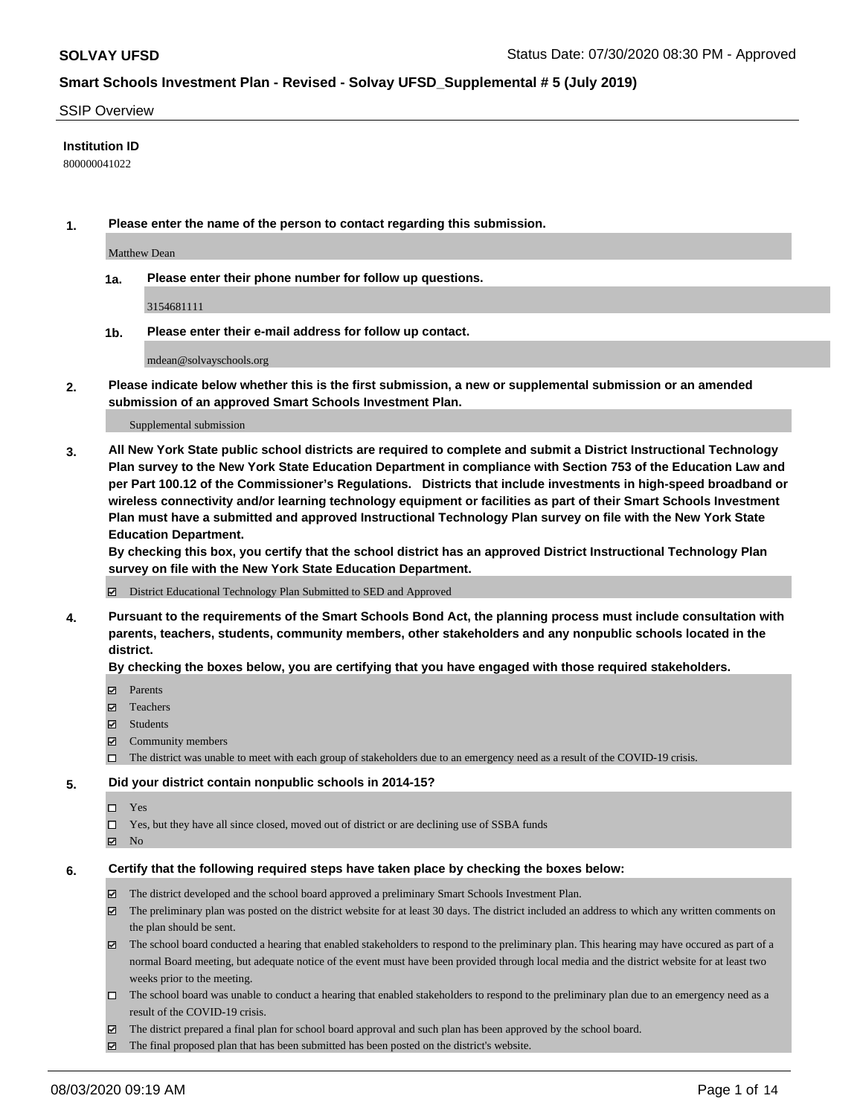### SSIP Overview

### **Institution ID**

800000041022

**1. Please enter the name of the person to contact regarding this submission.**

Matthew Dean

**1a. Please enter their phone number for follow up questions.**

3154681111

**1b. Please enter their e-mail address for follow up contact.**

mdean@solvayschools.org

**2. Please indicate below whether this is the first submission, a new or supplemental submission or an amended submission of an approved Smart Schools Investment Plan.**

#### Supplemental submission

**3. All New York State public school districts are required to complete and submit a District Instructional Technology Plan survey to the New York State Education Department in compliance with Section 753 of the Education Law and per Part 100.12 of the Commissioner's Regulations. Districts that include investments in high-speed broadband or wireless connectivity and/or learning technology equipment or facilities as part of their Smart Schools Investment Plan must have a submitted and approved Instructional Technology Plan survey on file with the New York State Education Department.** 

**By checking this box, you certify that the school district has an approved District Instructional Technology Plan survey on file with the New York State Education Department.**

District Educational Technology Plan Submitted to SED and Approved

**4. Pursuant to the requirements of the Smart Schools Bond Act, the planning process must include consultation with parents, teachers, students, community members, other stakeholders and any nonpublic schools located in the district.** 

#### **By checking the boxes below, you are certifying that you have engaged with those required stakeholders.**

- **□** Parents
- Teachers
- Students
- $\boxtimes$  Community members
- The district was unable to meet with each group of stakeholders due to an emergency need as a result of the COVID-19 crisis.

### **5. Did your district contain nonpublic schools in 2014-15?**

- $\neg$  Yes
- Yes, but they have all since closed, moved out of district or are declining use of SSBA funds
- **Z** No

#### **6. Certify that the following required steps have taken place by checking the boxes below:**

- The district developed and the school board approved a preliminary Smart Schools Investment Plan.
- $\boxtimes$  The preliminary plan was posted on the district website for at least 30 days. The district included an address to which any written comments on the plan should be sent.
- $\boxtimes$  The school board conducted a hearing that enabled stakeholders to respond to the preliminary plan. This hearing may have occured as part of a normal Board meeting, but adequate notice of the event must have been provided through local media and the district website for at least two weeks prior to the meeting.
- The school board was unable to conduct a hearing that enabled stakeholders to respond to the preliminary plan due to an emergency need as a result of the COVID-19 crisis.
- The district prepared a final plan for school board approval and such plan has been approved by the school board.
- $\boxtimes$  The final proposed plan that has been submitted has been posted on the district's website.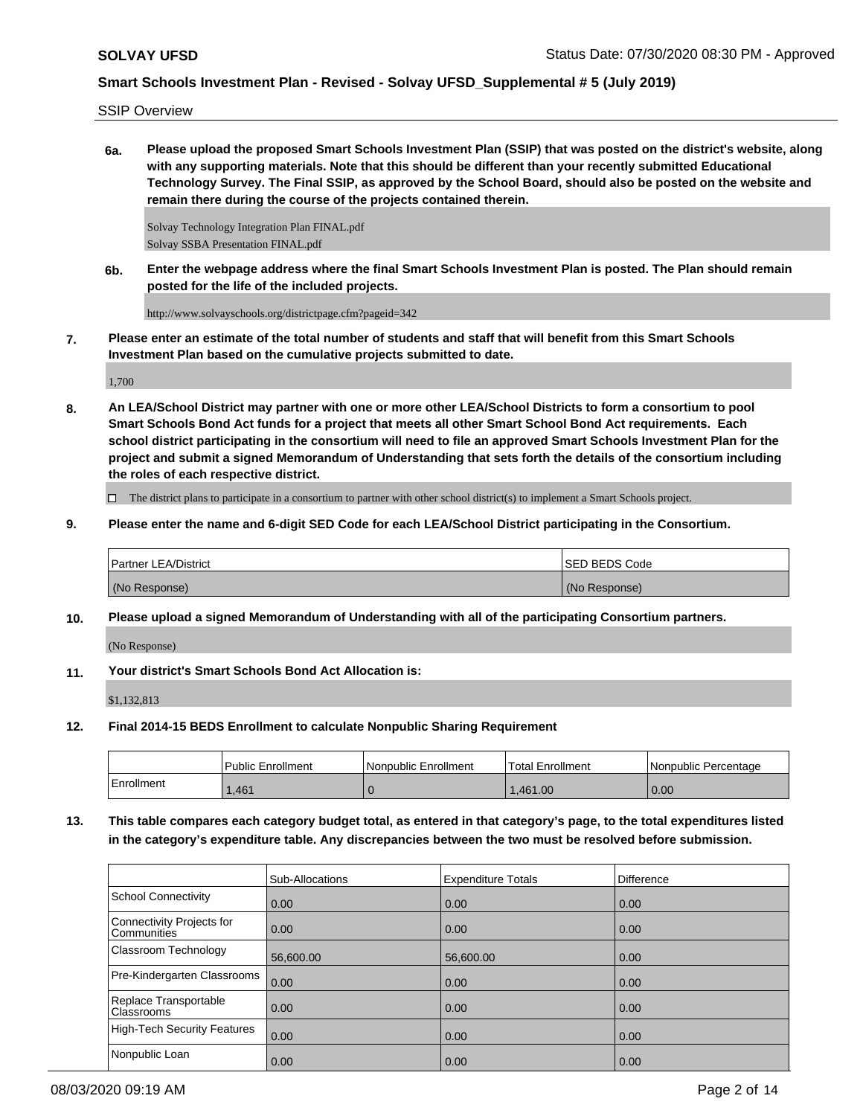SSIP Overview

**6a. Please upload the proposed Smart Schools Investment Plan (SSIP) that was posted on the district's website, along with any supporting materials. Note that this should be different than your recently submitted Educational Technology Survey. The Final SSIP, as approved by the School Board, should also be posted on the website and remain there during the course of the projects contained therein.**

Solvay Technology Integration Plan FINAL.pdf Solvay SSBA Presentation FINAL.pdf

**6b. Enter the webpage address where the final Smart Schools Investment Plan is posted. The Plan should remain posted for the life of the included projects.**

http://www.solvayschools.org/districtpage.cfm?pageid=342

**7. Please enter an estimate of the total number of students and staff that will benefit from this Smart Schools Investment Plan based on the cumulative projects submitted to date.**

1,700

**8. An LEA/School District may partner with one or more other LEA/School Districts to form a consortium to pool Smart Schools Bond Act funds for a project that meets all other Smart School Bond Act requirements. Each school district participating in the consortium will need to file an approved Smart Schools Investment Plan for the project and submit a signed Memorandum of Understanding that sets forth the details of the consortium including the roles of each respective district.**

 $\Box$  The district plans to participate in a consortium to partner with other school district(s) to implement a Smart Schools project.

**9. Please enter the name and 6-digit SED Code for each LEA/School District participating in the Consortium.**

| <b>Partner LEA/District</b> | <b>ISED BEDS Code</b> |
|-----------------------------|-----------------------|
| (No Response)               | (No Response)         |

**10. Please upload a signed Memorandum of Understanding with all of the participating Consortium partners.**

(No Response)

**11. Your district's Smart Schools Bond Act Allocation is:**

\$1,132,813

**12. Final 2014-15 BEDS Enrollment to calculate Nonpublic Sharing Requirement**

|            | <b>Public Enrollment</b> | Nonpublic Enrollment | 'Total Enrollment | l Nonpublic Percentage |
|------------|--------------------------|----------------------|-------------------|------------------------|
| Enrollment | .461                     |                      | .461.00           | 0.00                   |

**13. This table compares each category budget total, as entered in that category's page, to the total expenditures listed in the category's expenditure table. Any discrepancies between the two must be resolved before submission.**

|                                            | Sub-Allocations   | <b>Expenditure Totals</b> | <b>Difference</b> |
|--------------------------------------------|-------------------|---------------------------|-------------------|
| School Connectivity                        | 0.00              | 0.00                      | 0.00              |
| Connectivity Projects for<br>l Communities | $\overline{0.00}$ | 0.00                      | 0.00              |
| <b>Classroom Technology</b>                | 56,600.00         | 56,600.00                 | 0.00              |
| Pre-Kindergarten Classrooms                | 0.00              | 0.00                      | 0.00              |
| Replace Transportable<br>Classrooms        | $\overline{0.00}$ | 0.00                      | 0.00              |
| High-Tech Security Features                | 0.00              | 0.00                      | 0.00              |
| Nonpublic Loan                             | 0.00              | 0.00                      | 0.00              |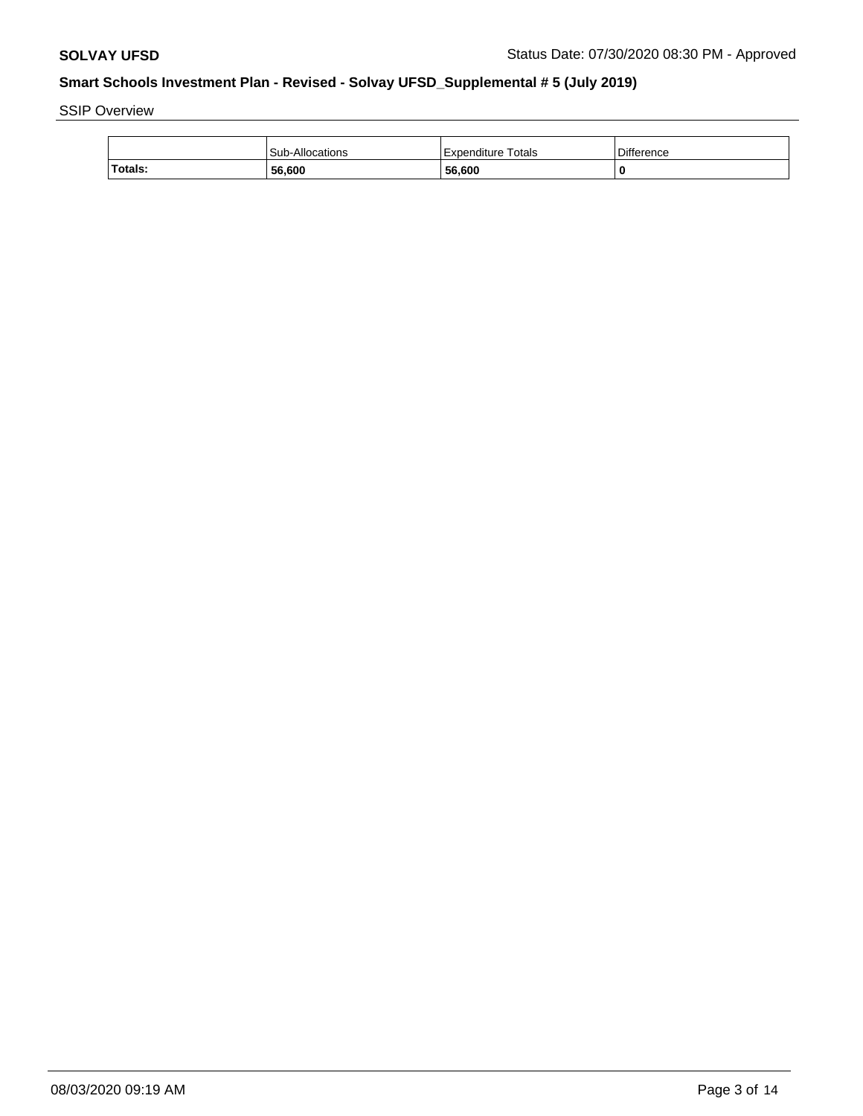SSIP Overview

|         | Sub-Allocations | <b>Expenditure Totals</b> | <b>Difference</b> |
|---------|-----------------|---------------------------|-------------------|
| Totals: | 56,600          | 56,600                    |                   |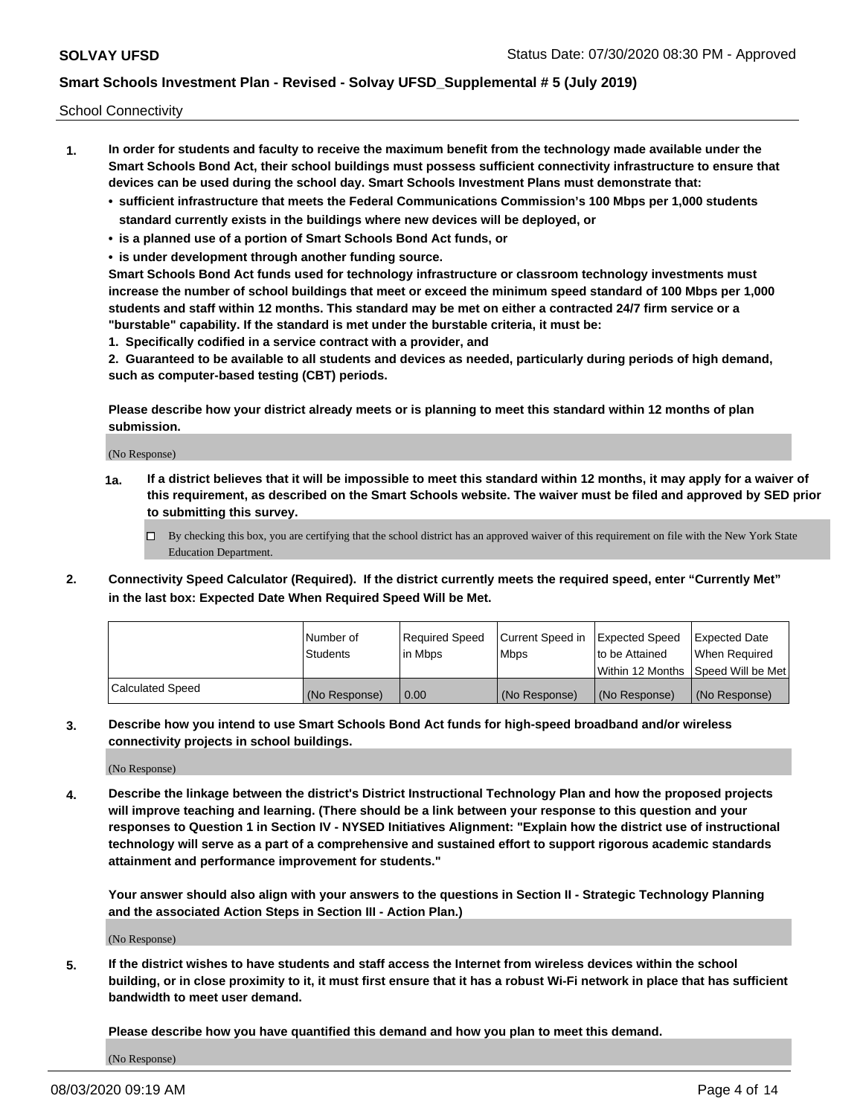School Connectivity

- **1. In order for students and faculty to receive the maximum benefit from the technology made available under the Smart Schools Bond Act, their school buildings must possess sufficient connectivity infrastructure to ensure that devices can be used during the school day. Smart Schools Investment Plans must demonstrate that:**
	- **• sufficient infrastructure that meets the Federal Communications Commission's 100 Mbps per 1,000 students standard currently exists in the buildings where new devices will be deployed, or**
	- **• is a planned use of a portion of Smart Schools Bond Act funds, or**
	- **• is under development through another funding source.**

**Smart Schools Bond Act funds used for technology infrastructure or classroom technology investments must increase the number of school buildings that meet or exceed the minimum speed standard of 100 Mbps per 1,000 students and staff within 12 months. This standard may be met on either a contracted 24/7 firm service or a "burstable" capability. If the standard is met under the burstable criteria, it must be:**

**1. Specifically codified in a service contract with a provider, and**

**2. Guaranteed to be available to all students and devices as needed, particularly during periods of high demand, such as computer-based testing (CBT) periods.**

**Please describe how your district already meets or is planning to meet this standard within 12 months of plan submission.**

(No Response)

**1a. If a district believes that it will be impossible to meet this standard within 12 months, it may apply for a waiver of this requirement, as described on the Smart Schools website. The waiver must be filed and approved by SED prior to submitting this survey.**

 $\Box$  By checking this box, you are certifying that the school district has an approved waiver of this requirement on file with the New York State Education Department.

**2. Connectivity Speed Calculator (Required). If the district currently meets the required speed, enter "Currently Met" in the last box: Expected Date When Required Speed Will be Met.**

|                  | l Number of     | Required Speed | Current Speed in | Expected Speed  | Expected Date                           |
|------------------|-----------------|----------------|------------------|-----------------|-----------------------------------------|
|                  | <b>Students</b> | In Mbps        | l Mbps           | to be Attained  | When Required                           |
|                  |                 |                |                  |                 | l Within 12 Months ISpeed Will be Met l |
| Calculated Speed | (No Response)   | 0.00           | (No Response)    | l (No Response) | l (No Response)                         |

**3. Describe how you intend to use Smart Schools Bond Act funds for high-speed broadband and/or wireless connectivity projects in school buildings.**

(No Response)

**4. Describe the linkage between the district's District Instructional Technology Plan and how the proposed projects will improve teaching and learning. (There should be a link between your response to this question and your responses to Question 1 in Section IV - NYSED Initiatives Alignment: "Explain how the district use of instructional technology will serve as a part of a comprehensive and sustained effort to support rigorous academic standards attainment and performance improvement for students."** 

**Your answer should also align with your answers to the questions in Section II - Strategic Technology Planning and the associated Action Steps in Section III - Action Plan.)**

(No Response)

**5. If the district wishes to have students and staff access the Internet from wireless devices within the school building, or in close proximity to it, it must first ensure that it has a robust Wi-Fi network in place that has sufficient bandwidth to meet user demand.**

**Please describe how you have quantified this demand and how you plan to meet this demand.**

(No Response)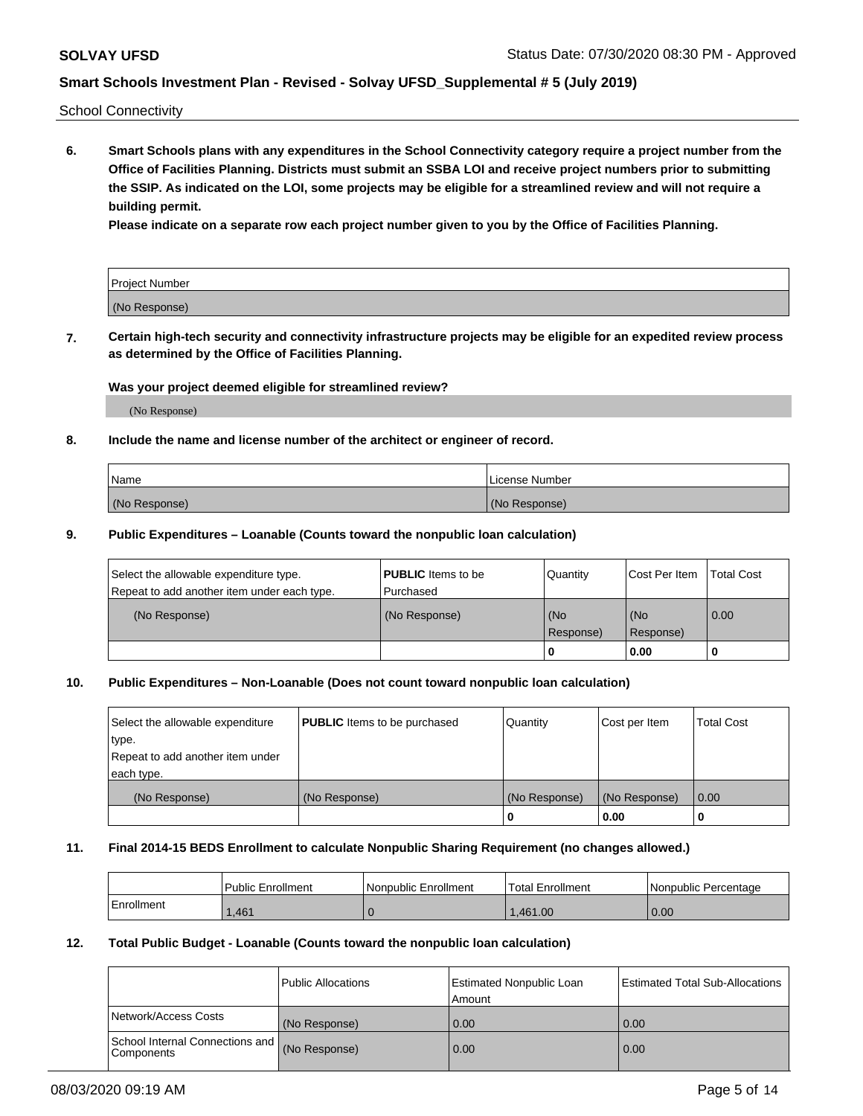School Connectivity

**6. Smart Schools plans with any expenditures in the School Connectivity category require a project number from the Office of Facilities Planning. Districts must submit an SSBA LOI and receive project numbers prior to submitting the SSIP. As indicated on the LOI, some projects may be eligible for a streamlined review and will not require a building permit.**

**Please indicate on a separate row each project number given to you by the Office of Facilities Planning.**

| Project Number |  |
|----------------|--|
| (No Response)  |  |

**7. Certain high-tech security and connectivity infrastructure projects may be eligible for an expedited review process as determined by the Office of Facilities Planning.**

### **Was your project deemed eligible for streamlined review?**

(No Response)

### **8. Include the name and license number of the architect or engineer of record.**

| Name          | License Number |
|---------------|----------------|
| (No Response) | (No Response)  |

### **9. Public Expenditures – Loanable (Counts toward the nonpublic loan calculation)**

| Select the allowable expenditure type.<br>Repeat to add another item under each type. | <b>PUBLIC</b> Items to be<br>l Purchased | Quantity         | l Cost Per Item  | <b>Total Cost</b> |
|---------------------------------------------------------------------------------------|------------------------------------------|------------------|------------------|-------------------|
| (No Response)                                                                         | (No Response)                            | (No<br>Response) | (No<br>Response) | 0.00              |
|                                                                                       |                                          | 0                | 0.00             |                   |

### **10. Public Expenditures – Non-Loanable (Does not count toward nonpublic loan calculation)**

| Select the allowable expenditure<br>type.<br>Repeat to add another item under<br>each type. | <b>PUBLIC</b> Items to be purchased | Quantity      | Cost per Item | <b>Total Cost</b> |
|---------------------------------------------------------------------------------------------|-------------------------------------|---------------|---------------|-------------------|
| (No Response)                                                                               | (No Response)                       | (No Response) | (No Response) | 0.00              |
|                                                                                             |                                     |               | 0.00          |                   |

#### **11. Final 2014-15 BEDS Enrollment to calculate Nonpublic Sharing Requirement (no changes allowed.)**

|            | Public Enrollment | Nonpublic Enrollment | 'Total Enrollment | l Nonpublic Percentage |
|------------|-------------------|----------------------|-------------------|------------------------|
| Enrollment | .461              |                      | .461.00           | 0.00                   |

### **12. Total Public Budget - Loanable (Counts toward the nonpublic loan calculation)**

|                                                      | Public Allocations | <b>Estimated Nonpublic Loan</b><br>Amount | Estimated Total Sub-Allocations |
|------------------------------------------------------|--------------------|-------------------------------------------|---------------------------------|
| Network/Access Costs                                 | (No Response)      | 0.00                                      | 0.00                            |
| School Internal Connections and<br><b>Components</b> | (No Response)      | 0.00                                      | 0.00                            |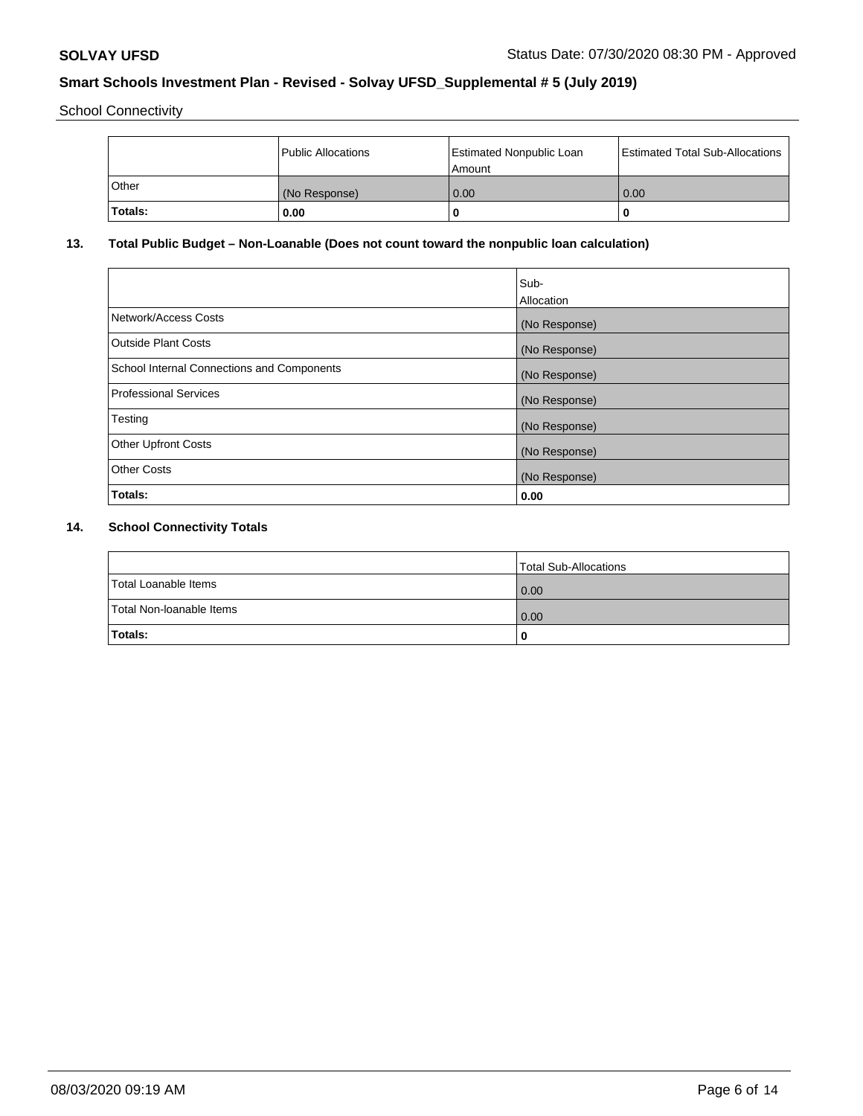School Connectivity

|              | <b>Public Allocations</b> | <b>Estimated Nonpublic Loan</b><br>l Amount | <b>Estimated Total Sub-Allocations</b> |
|--------------|---------------------------|---------------------------------------------|----------------------------------------|
| <b>Other</b> | (No Response)             | 0.00                                        | 0.00                                   |
| Totals:      | 0.00                      | 0                                           | ш                                      |

# **13. Total Public Budget – Non-Loanable (Does not count toward the nonpublic loan calculation)**

|                                                   | Sub-<br>Allocation |
|---------------------------------------------------|--------------------|
|                                                   |                    |
| Network/Access Costs                              | (No Response)      |
| <b>Outside Plant Costs</b>                        | (No Response)      |
| <b>School Internal Connections and Components</b> | (No Response)      |
| Professional Services                             | (No Response)      |
| Testing                                           | (No Response)      |
| <b>Other Upfront Costs</b>                        | (No Response)      |
| <b>Other Costs</b>                                | (No Response)      |
| <b>Totals:</b>                                    | 0.00               |

# **14. School Connectivity Totals**

|                          | Total Sub-Allocations |
|--------------------------|-----------------------|
| Total Loanable Items     | 0.00                  |
| Total Non-Ioanable Items | 0.00                  |
| Totals:                  | 0                     |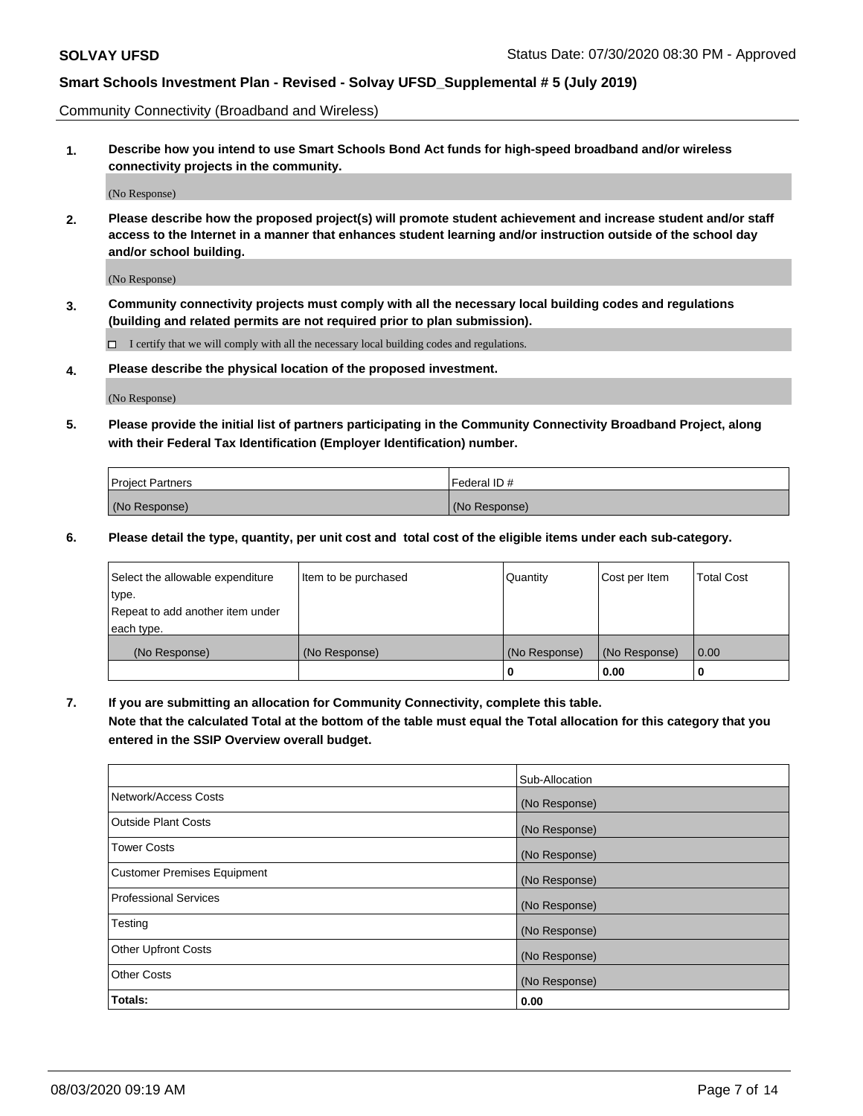Community Connectivity (Broadband and Wireless)

**1. Describe how you intend to use Smart Schools Bond Act funds for high-speed broadband and/or wireless connectivity projects in the community.**

(No Response)

**2. Please describe how the proposed project(s) will promote student achievement and increase student and/or staff access to the Internet in a manner that enhances student learning and/or instruction outside of the school day and/or school building.**

(No Response)

**3. Community connectivity projects must comply with all the necessary local building codes and regulations (building and related permits are not required prior to plan submission).**

 $\Box$  I certify that we will comply with all the necessary local building codes and regulations.

**4. Please describe the physical location of the proposed investment.**

(No Response)

**5. Please provide the initial list of partners participating in the Community Connectivity Broadband Project, along with their Federal Tax Identification (Employer Identification) number.**

| <b>Project Partners</b> | l Federal ID # |
|-------------------------|----------------|
| (No Response)           | (No Response)  |

**6. Please detail the type, quantity, per unit cost and total cost of the eligible items under each sub-category.**

| Select the allowable expenditure | Item to be purchased | Quantity      | Cost per Item | <b>Total Cost</b> |
|----------------------------------|----------------------|---------------|---------------|-------------------|
| type.                            |                      |               |               |                   |
| Repeat to add another item under |                      |               |               |                   |
| each type.                       |                      |               |               |                   |
| (No Response)                    | (No Response)        | (No Response) | (No Response) | 0.00              |
|                                  |                      | o             | 0.00          |                   |

**7. If you are submitting an allocation for Community Connectivity, complete this table.**

**Note that the calculated Total at the bottom of the table must equal the Total allocation for this category that you entered in the SSIP Overview overall budget.**

|                                    | Sub-Allocation |
|------------------------------------|----------------|
| Network/Access Costs               | (No Response)  |
| Outside Plant Costs                | (No Response)  |
| <b>Tower Costs</b>                 | (No Response)  |
| <b>Customer Premises Equipment</b> | (No Response)  |
| <b>Professional Services</b>       | (No Response)  |
| Testing                            | (No Response)  |
| <b>Other Upfront Costs</b>         | (No Response)  |
| <b>Other Costs</b>                 | (No Response)  |
| Totals:                            | 0.00           |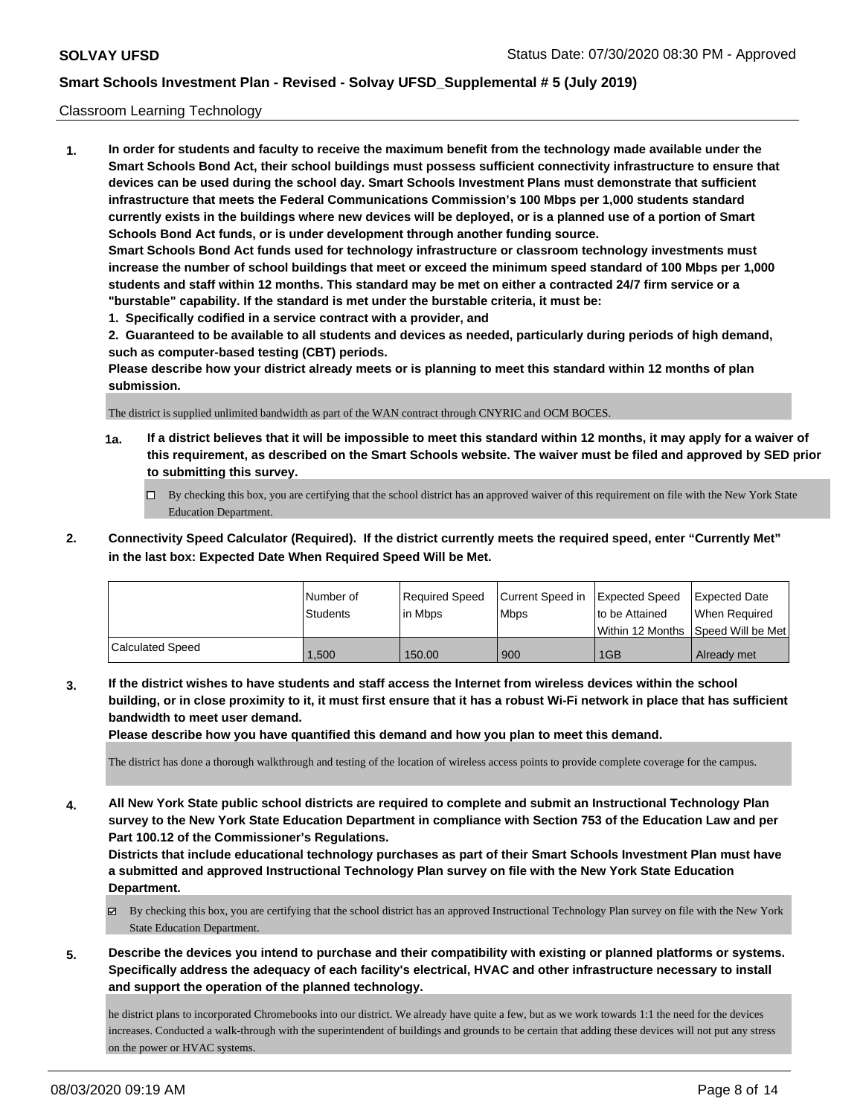### Classroom Learning Technology

**1. In order for students and faculty to receive the maximum benefit from the technology made available under the Smart Schools Bond Act, their school buildings must possess sufficient connectivity infrastructure to ensure that devices can be used during the school day. Smart Schools Investment Plans must demonstrate that sufficient infrastructure that meets the Federal Communications Commission's 100 Mbps per 1,000 students standard currently exists in the buildings where new devices will be deployed, or is a planned use of a portion of Smart Schools Bond Act funds, or is under development through another funding source. Smart Schools Bond Act funds used for technology infrastructure or classroom technology investments must increase the number of school buildings that meet or exceed the minimum speed standard of 100 Mbps per 1,000 students and staff within 12 months. This standard may be met on either a contracted 24/7 firm service or a "burstable" capability. If the standard is met under the burstable criteria, it must be:**

**1. Specifically codified in a service contract with a provider, and**

**2. Guaranteed to be available to all students and devices as needed, particularly during periods of high demand, such as computer-based testing (CBT) periods.**

**Please describe how your district already meets or is planning to meet this standard within 12 months of plan submission.**

The district is supplied unlimited bandwidth as part of the WAN contract through CNYRIC and OCM BOCES.

- **1a. If a district believes that it will be impossible to meet this standard within 12 months, it may apply for a waiver of this requirement, as described on the Smart Schools website. The waiver must be filed and approved by SED prior to submitting this survey.**
	- By checking this box, you are certifying that the school district has an approved waiver of this requirement on file with the New York State Education Department.
- **2. Connectivity Speed Calculator (Required). If the district currently meets the required speed, enter "Currently Met" in the last box: Expected Date When Required Speed Will be Met.**

|                  | l Number of     | Required Speed | Current Speed in Expected Speed |                | <b>Expected Date</b>                 |
|------------------|-----------------|----------------|---------------------------------|----------------|--------------------------------------|
|                  | <b>Students</b> | lin Mbps       | <b>Mbps</b>                     | to be Attained | When Required                        |
|                  |                 |                |                                 |                | Within 12 Months 1Speed Will be Met1 |
| Calculated Speed | .500            | 150.00         | 900                             | 1GB            | Already met                          |

**3. If the district wishes to have students and staff access the Internet from wireless devices within the school building, or in close proximity to it, it must first ensure that it has a robust Wi-Fi network in place that has sufficient bandwidth to meet user demand.**

**Please describe how you have quantified this demand and how you plan to meet this demand.**

The district has done a thorough walkthrough and testing of the location of wireless access points to provide complete coverage for the campus.

**4. All New York State public school districts are required to complete and submit an Instructional Technology Plan survey to the New York State Education Department in compliance with Section 753 of the Education Law and per Part 100.12 of the Commissioner's Regulations.**

**Districts that include educational technology purchases as part of their Smart Schools Investment Plan must have a submitted and approved Instructional Technology Plan survey on file with the New York State Education Department.**

- $\boxtimes$  By checking this box, you are certifying that the school district has an approved Instructional Technology Plan survey on file with the New York State Education Department.
- **5. Describe the devices you intend to purchase and their compatibility with existing or planned platforms or systems. Specifically address the adequacy of each facility's electrical, HVAC and other infrastructure necessary to install and support the operation of the planned technology.**

he district plans to incorporated Chromebooks into our district. We already have quite a few, but as we work towards 1:1 the need for the devices increases. Conducted a walk-through with the superintendent of buildings and grounds to be certain that adding these devices will not put any stress on the power or HVAC systems.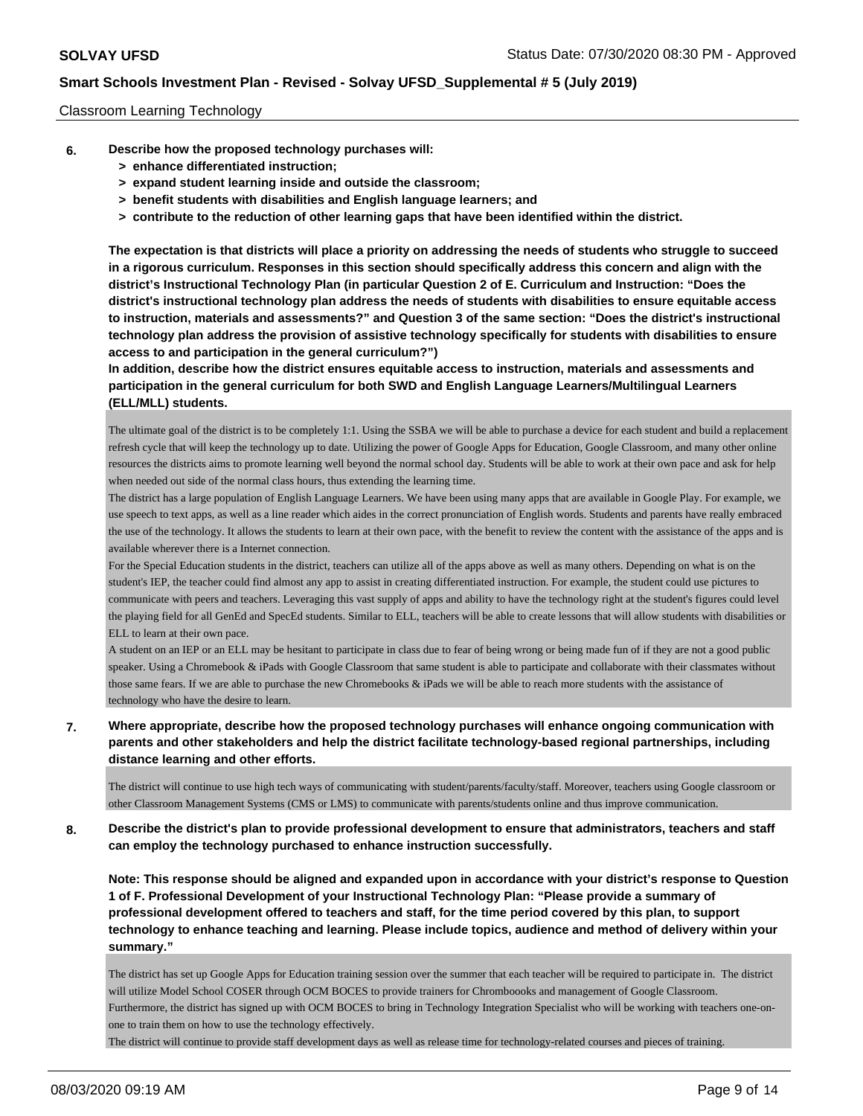### Classroom Learning Technology

- **6. Describe how the proposed technology purchases will:**
	- **> enhance differentiated instruction;**
	- **> expand student learning inside and outside the classroom;**
	- **> benefit students with disabilities and English language learners; and**
	- **> contribute to the reduction of other learning gaps that have been identified within the district.**

**The expectation is that districts will place a priority on addressing the needs of students who struggle to succeed in a rigorous curriculum. Responses in this section should specifically address this concern and align with the district's Instructional Technology Plan (in particular Question 2 of E. Curriculum and Instruction: "Does the district's instructional technology plan address the needs of students with disabilities to ensure equitable access to instruction, materials and assessments?" and Question 3 of the same section: "Does the district's instructional technology plan address the provision of assistive technology specifically for students with disabilities to ensure access to and participation in the general curriculum?")**

**In addition, describe how the district ensures equitable access to instruction, materials and assessments and participation in the general curriculum for both SWD and English Language Learners/Multilingual Learners (ELL/MLL) students.**

The ultimate goal of the district is to be completely 1:1. Using the SSBA we will be able to purchase a device for each student and build a replacement refresh cycle that will keep the technology up to date. Utilizing the power of Google Apps for Education, Google Classroom, and many other online resources the districts aims to promote learning well beyond the normal school day. Students will be able to work at their own pace and ask for help when needed out side of the normal class hours, thus extending the learning time.

The district has a large population of English Language Learners. We have been using many apps that are available in Google Play. For example, we use speech to text apps, as well as a line reader which aides in the correct pronunciation of English words. Students and parents have really embraced the use of the technology. It allows the students to learn at their own pace, with the benefit to review the content with the assistance of the apps and is available wherever there is a Internet connection.

For the Special Education students in the district, teachers can utilize all of the apps above as well as many others. Depending on what is on the student's IEP, the teacher could find almost any app to assist in creating differentiated instruction. For example, the student could use pictures to communicate with peers and teachers. Leveraging this vast supply of apps and ability to have the technology right at the student's figures could level the playing field for all GenEd and SpecEd students. Similar to ELL, teachers will be able to create lessons that will allow students with disabilities or ELL to learn at their own pace.

A student on an IEP or an ELL may be hesitant to participate in class due to fear of being wrong or being made fun of if they are not a good public speaker. Using a Chromebook & iPads with Google Classroom that same student is able to participate and collaborate with their classmates without those same fears. If we are able to purchase the new Chromebooks & iPads we will be able to reach more students with the assistance of technology who have the desire to learn.

**7. Where appropriate, describe how the proposed technology purchases will enhance ongoing communication with parents and other stakeholders and help the district facilitate technology-based regional partnerships, including distance learning and other efforts.**

The district will continue to use high tech ways of communicating with student/parents/faculty/staff. Moreover, teachers using Google classroom or other Classroom Management Systems (CMS or LMS) to communicate with parents/students online and thus improve communication.

**8. Describe the district's plan to provide professional development to ensure that administrators, teachers and staff can employ the technology purchased to enhance instruction successfully.**

**Note: This response should be aligned and expanded upon in accordance with your district's response to Question 1 of F. Professional Development of your Instructional Technology Plan: "Please provide a summary of professional development offered to teachers and staff, for the time period covered by this plan, to support technology to enhance teaching and learning. Please include topics, audience and method of delivery within your summary."**

The district has set up Google Apps for Education training session over the summer that each teacher will be required to participate in. The district will utilize Model School COSER through OCM BOCES to provide trainers for Chromboooks and management of Google Classroom. Furthermore, the district has signed up with OCM BOCES to bring in Technology Integration Specialist who will be working with teachers one-onone to train them on how to use the technology effectively.

The district will continue to provide staff development days as well as release time for technology-related courses and pieces of training.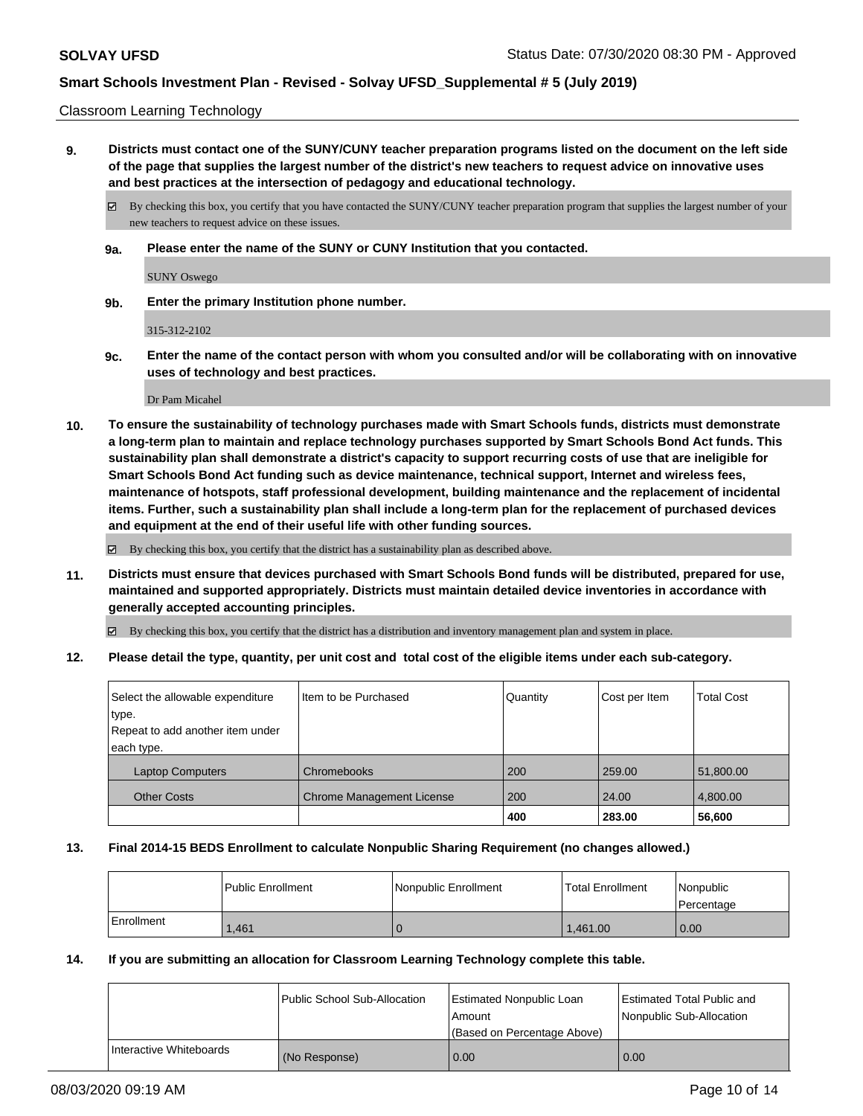Classroom Learning Technology

**9. Districts must contact one of the SUNY/CUNY teacher preparation programs listed on the document on the left side of the page that supplies the largest number of the district's new teachers to request advice on innovative uses and best practices at the intersection of pedagogy and educational technology.**

By checking this box, you certify that you have contacted the SUNY/CUNY teacher preparation program that supplies the largest number of your new teachers to request advice on these issues.

**9a. Please enter the name of the SUNY or CUNY Institution that you contacted.**

SUNY Oswego

**9b. Enter the primary Institution phone number.**

315-312-2102

**9c. Enter the name of the contact person with whom you consulted and/or will be collaborating with on innovative uses of technology and best practices.**

Dr Pam Micahel

**10. To ensure the sustainability of technology purchases made with Smart Schools funds, districts must demonstrate a long-term plan to maintain and replace technology purchases supported by Smart Schools Bond Act funds. This sustainability plan shall demonstrate a district's capacity to support recurring costs of use that are ineligible for Smart Schools Bond Act funding such as device maintenance, technical support, Internet and wireless fees, maintenance of hotspots, staff professional development, building maintenance and the replacement of incidental items. Further, such a sustainability plan shall include a long-term plan for the replacement of purchased devices and equipment at the end of their useful life with other funding sources.**

By checking this box, you certify that the district has a sustainability plan as described above.

**11. Districts must ensure that devices purchased with Smart Schools Bond funds will be distributed, prepared for use, maintained and supported appropriately. Districts must maintain detailed device inventories in accordance with generally accepted accounting principles.**

By checking this box, you certify that the district has a distribution and inventory management plan and system in place.

**12. Please detail the type, quantity, per unit cost and total cost of the eligible items under each sub-category.**

| Select the allowable expenditure | Item to be Purchased             | Quantity | Cost per Item | <b>Total Cost</b> |
|----------------------------------|----------------------------------|----------|---------------|-------------------|
| type.                            |                                  |          |               |                   |
| Repeat to add another item under |                                  |          |               |                   |
| each type.                       |                                  |          |               |                   |
| <b>Laptop Computers</b>          | Chromebooks                      | 200      | 259.00        | 51,800.00         |
| <b>Other Costs</b>               | <b>Chrome Management License</b> | 200      | 24.00         | 4,800.00          |
|                                  |                                  | 400      | 283.00        | 56,600            |

#### **13. Final 2014-15 BEDS Enrollment to calculate Nonpublic Sharing Requirement (no changes allowed.)**

|            | l Public Enrollment | Nonpublic Enrollment | <b>Total Enrollment</b> | Nonpublic<br>l Percentage |
|------------|---------------------|----------------------|-------------------------|---------------------------|
| Enrollment | .461                |                      | 1.461.00                | 0.00                      |

#### **14. If you are submitting an allocation for Classroom Learning Technology complete this table.**

|                         | Public School Sub-Allocation | <b>Estimated Nonpublic Loan</b><br>Amount<br>(Based on Percentage Above) | Estimated Total Public and<br>Nonpublic Sub-Allocation |
|-------------------------|------------------------------|--------------------------------------------------------------------------|--------------------------------------------------------|
| Interactive Whiteboards | (No Response)                | 0.00                                                                     | 0.00                                                   |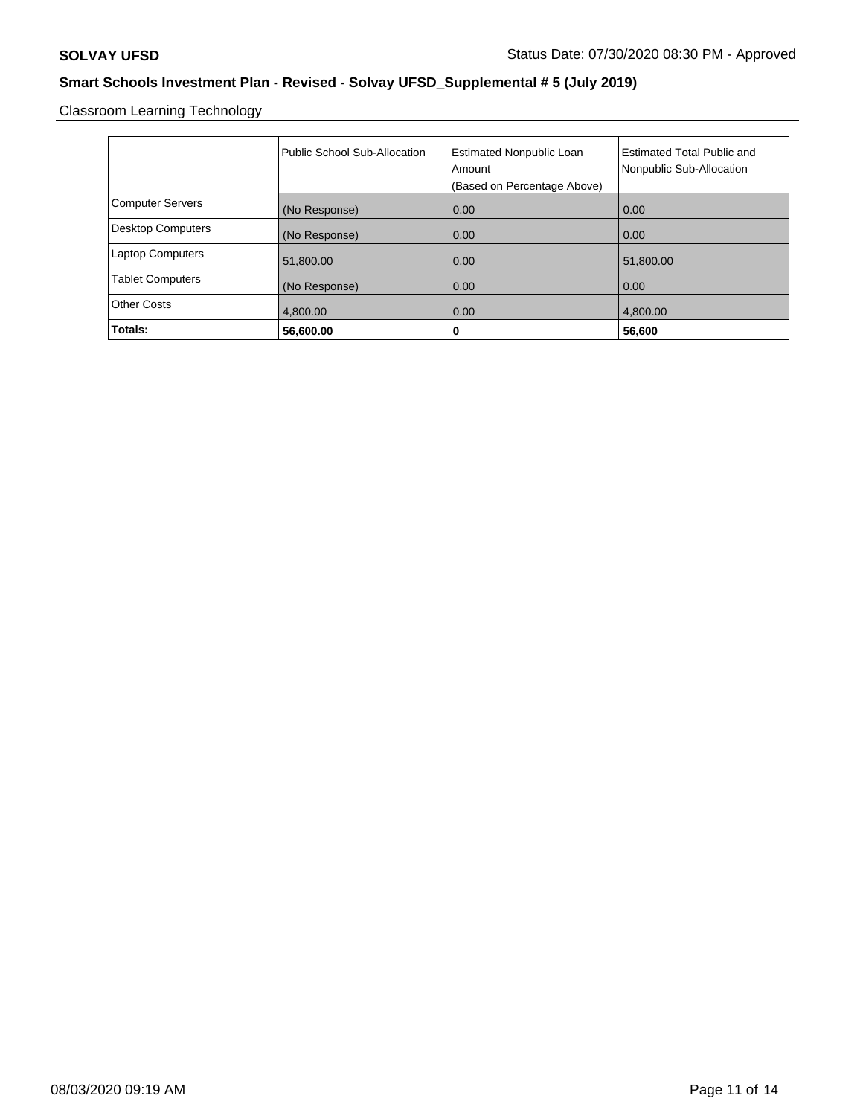Classroom Learning Technology

|                          | Public School Sub-Allocation | <b>Estimated Nonpublic Loan</b> | <b>Estimated Total Public and</b> |
|--------------------------|------------------------------|---------------------------------|-----------------------------------|
|                          |                              | Amount                          | Nonpublic Sub-Allocation          |
|                          |                              | (Based on Percentage Above)     |                                   |
| <b>Computer Servers</b>  | (No Response)                | 0.00                            | 0.00                              |
| <b>Desktop Computers</b> | (No Response)                | 0.00                            | 0.00                              |
| <b>Laptop Computers</b>  | 51,800.00                    | 0.00                            | 51,800.00                         |
| <b>Tablet Computers</b>  | (No Response)                | 0.00                            | 0.00                              |
| <b>Other Costs</b>       | 4,800.00                     | 0.00                            | 4,800.00                          |
| Totals:                  | 56,600.00                    | 0                               | 56,600                            |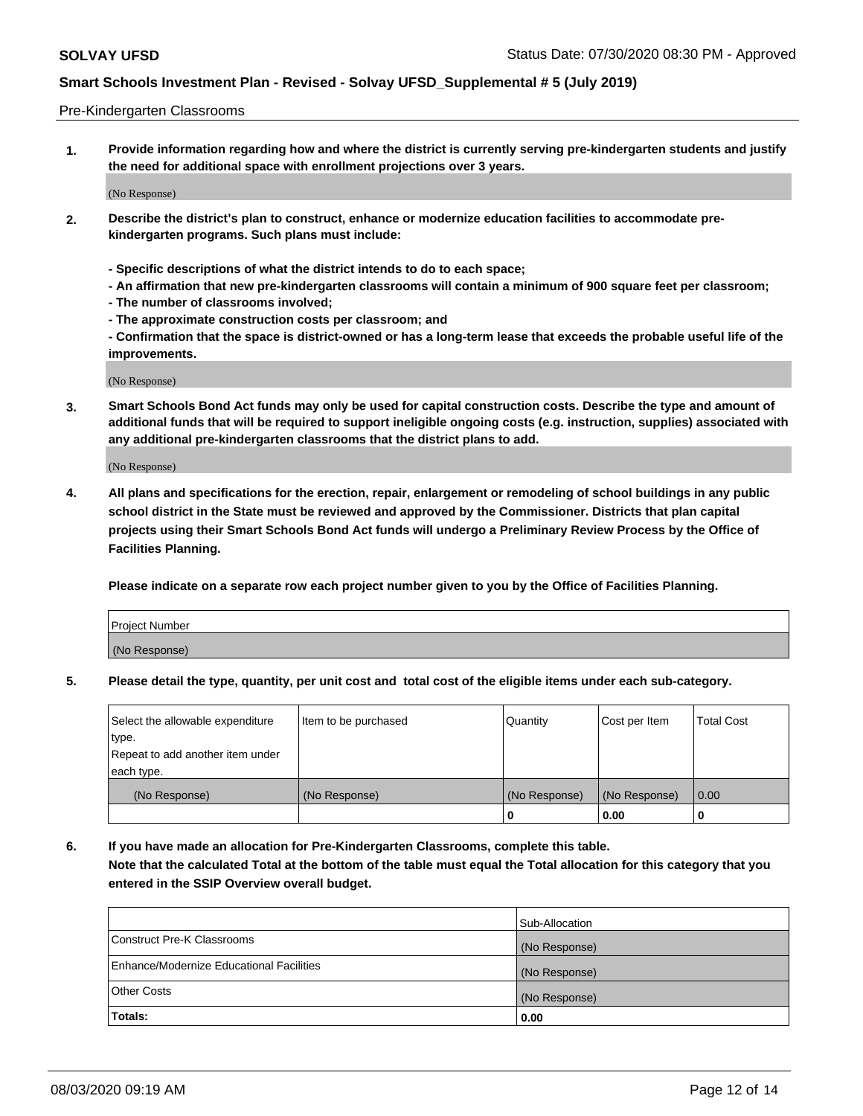### Pre-Kindergarten Classrooms

**1. Provide information regarding how and where the district is currently serving pre-kindergarten students and justify the need for additional space with enrollment projections over 3 years.**

(No Response)

- **2. Describe the district's plan to construct, enhance or modernize education facilities to accommodate prekindergarten programs. Such plans must include:**
	- **Specific descriptions of what the district intends to do to each space;**
	- **An affirmation that new pre-kindergarten classrooms will contain a minimum of 900 square feet per classroom;**
	- **The number of classrooms involved;**
	- **The approximate construction costs per classroom; and**
	- **Confirmation that the space is district-owned or has a long-term lease that exceeds the probable useful life of the improvements.**

(No Response)

**3. Smart Schools Bond Act funds may only be used for capital construction costs. Describe the type and amount of additional funds that will be required to support ineligible ongoing costs (e.g. instruction, supplies) associated with any additional pre-kindergarten classrooms that the district plans to add.**

(No Response)

**4. All plans and specifications for the erection, repair, enlargement or remodeling of school buildings in any public school district in the State must be reviewed and approved by the Commissioner. Districts that plan capital projects using their Smart Schools Bond Act funds will undergo a Preliminary Review Process by the Office of Facilities Planning.**

**Please indicate on a separate row each project number given to you by the Office of Facilities Planning.**

| Project Number |  |
|----------------|--|
| (No Response)  |  |
|                |  |

**5. Please detail the type, quantity, per unit cost and total cost of the eligible items under each sub-category.**

| Select the allowable expenditure | Item to be purchased | Quantity      | Cost per Item | <b>Total Cost</b> |
|----------------------------------|----------------------|---------------|---------------|-------------------|
| type.                            |                      |               |               |                   |
| Repeat to add another item under |                      |               |               |                   |
| each type.                       |                      |               |               |                   |
| (No Response)                    | (No Response)        | (No Response) | (No Response) | 0.00              |
|                                  |                      | υ             | 0.00          |                   |

**6. If you have made an allocation for Pre-Kindergarten Classrooms, complete this table. Note that the calculated Total at the bottom of the table must equal the Total allocation for this category that you entered in the SSIP Overview overall budget.**

|                                          | Sub-Allocation |
|------------------------------------------|----------------|
| Construct Pre-K Classrooms               | (No Response)  |
| Enhance/Modernize Educational Facilities | (No Response)  |
| <b>Other Costs</b>                       | (No Response)  |
| Totals:                                  | 0.00           |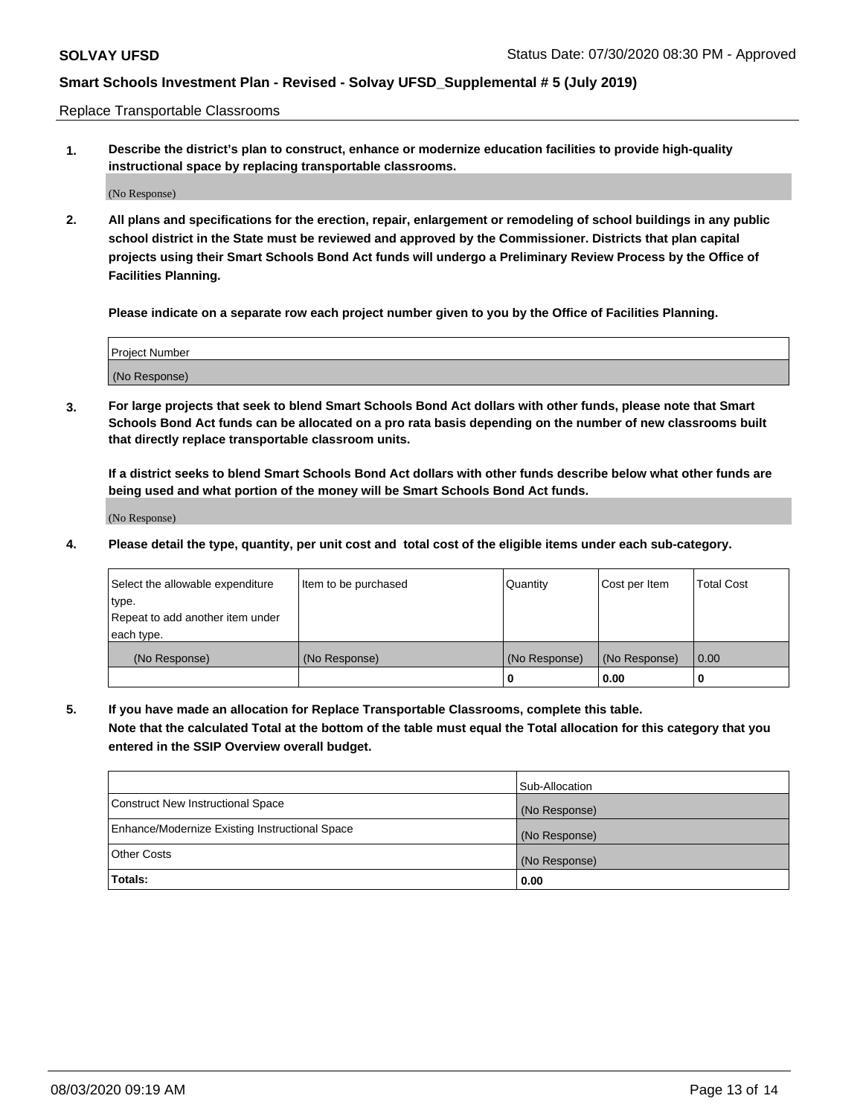Replace Transportable Classrooms

**1. Describe the district's plan to construct, enhance or modernize education facilities to provide high-quality instructional space by replacing transportable classrooms.**

(No Response)

**2. All plans and specifications for the erection, repair, enlargement or remodeling of school buildings in any public school district in the State must be reviewed and approved by the Commissioner. Districts that plan capital projects using their Smart Schools Bond Act funds will undergo a Preliminary Review Process by the Office of Facilities Planning.**

**Please indicate on a separate row each project number given to you by the Office of Facilities Planning.**

| Project Number |  |
|----------------|--|
|                |  |
|                |  |
|                |  |
| (No Response)  |  |
|                |  |
|                |  |

**3. For large projects that seek to blend Smart Schools Bond Act dollars with other funds, please note that Smart Schools Bond Act funds can be allocated on a pro rata basis depending on the number of new classrooms built that directly replace transportable classroom units.**

**If a district seeks to blend Smart Schools Bond Act dollars with other funds describe below what other funds are being used and what portion of the money will be Smart Schools Bond Act funds.**

(No Response)

**4. Please detail the type, quantity, per unit cost and total cost of the eligible items under each sub-category.**

| Select the allowable expenditure<br>∣type.     | Item to be purchased | Quantity      | Cost per Item | Total Cost |
|------------------------------------------------|----------------------|---------------|---------------|------------|
| Repeat to add another item under<br>each type. |                      |               |               |            |
| (No Response)                                  | (No Response)        | (No Response) | (No Response) | 0.00       |
|                                                |                      | u             | 0.00          |            |

**5. If you have made an allocation for Replace Transportable Classrooms, complete this table. Note that the calculated Total at the bottom of the table must equal the Total allocation for this category that you entered in the SSIP Overview overall budget.**

|                                                | Sub-Allocation |
|------------------------------------------------|----------------|
| Construct New Instructional Space              | (No Response)  |
| Enhance/Modernize Existing Instructional Space | (No Response)  |
| Other Costs                                    | (No Response)  |
| Totals:                                        | 0.00           |